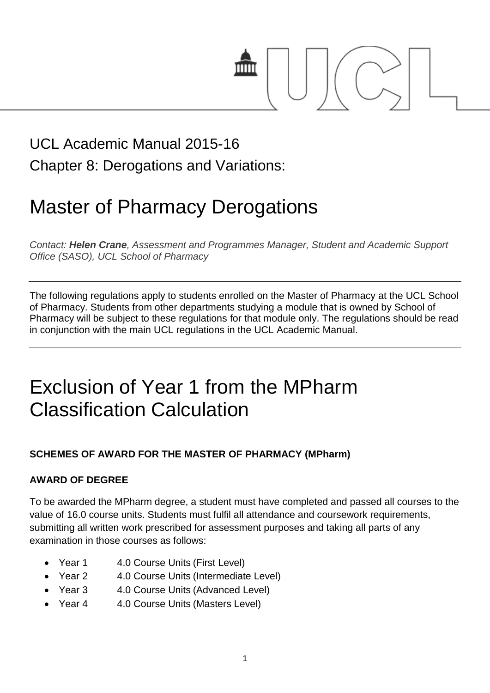# mm

### UCL Academic Manual 2015-16 Chapter 8: Derogations and Variations:

# Master of Pharmacy Derogations

*Contact: Helen Crane, Assessment and Programmes Manager, Student and Academic Support Office (SASO), UCL School of Pharmacy*

The following regulations apply to students enrolled on the Master of Pharmacy at the UCL School of Pharmacy. Students from other departments studying a module that is owned by School of Pharmacy will be subject to these regulations for that module only. The regulations should be read in conjunction with the main UCL regulations in the UCL Academic Manual.

## Exclusion of Year 1 from the MPharm Classification Calculation

#### **SCHEMES OF AWARD FOR THE MASTER OF PHARMACY (MPharm)**

#### **AWARD OF DEGREE**

To be awarded the MPharm degree, a student must have completed and passed all courses to the value of 16.0 course units. Students must fulfil all attendance and coursework requirements, submitting all written work prescribed for assessment purposes and taking all parts of any examination in those courses as follows:

- Year 1 4.0 Course Units (First Level)
- Year 2 4.0 Course Units (Intermediate Level)
- Year 3 4.0 Course Units (Advanced Level)
- Year 4 4.0 Course Units (Masters Level)